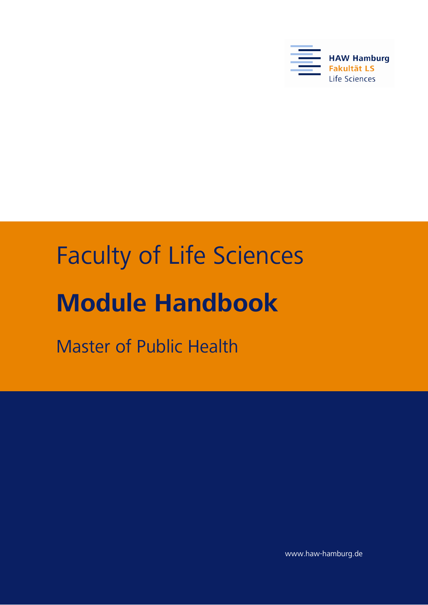

# Faculty of Life Sciences **Module Handbook**

Master of Public Health

www.haw-hamburg.de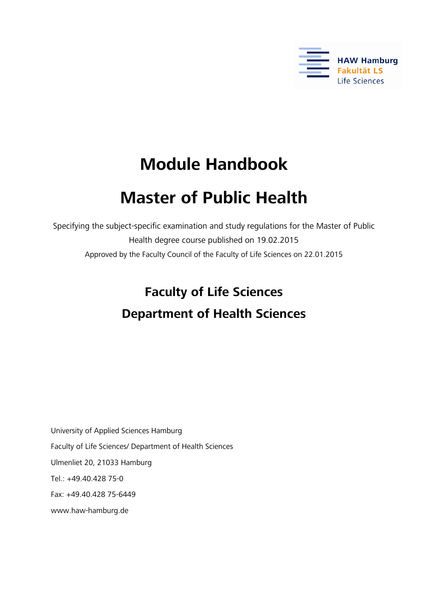

# **Module Handbook**

# **Master of Public Health**

Specifying the subject-specific examination and study regulations for the Master of Public Health degree course published on 19.02.2015 Approved by the Faculty Council of the Faculty of Life Sciences on 22.01.2015

> **Faculty of Life Sciences Department of Health Sciences**

University of Applied Sciences Hamburg Faculty of Life Sciences/ Department of Health Sciences Ulmenliet 20, 21033 Hamburg Tel.: +49.40.428 75-0 Fax: +49.40.428 75-6449 www.haw-hamburg.de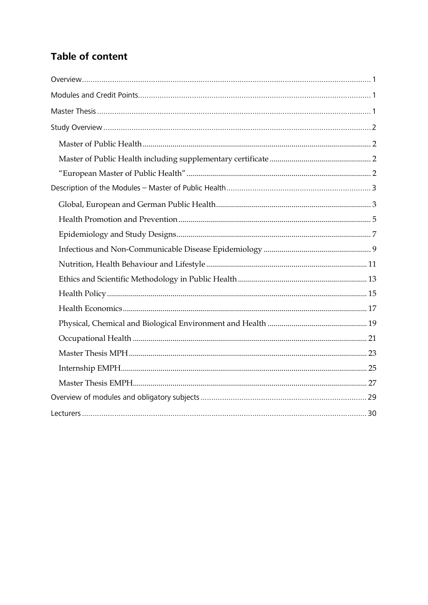# **Table of content**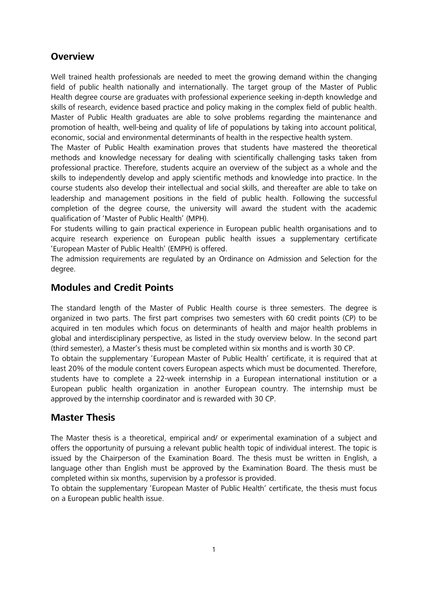### <span id="page-3-0"></span>**Overview**

Well trained health professionals are needed to meet the growing demand within the changing field of public health nationally and internationally. The target group of the Master of Public Health degree course are graduates with professional experience seeking in-depth knowledge and skills of research, evidence based practice and policy making in the complex field of public health. Master of Public Health graduates are able to solve problems regarding the maintenance and promotion of health, well-being and quality of life of populations by taking into account political, economic, social and environmental determinants of health in the respective health system.

The Master of Public Health examination proves that students have mastered the theoretical methods and knowledge necessary for dealing with scientifically challenging tasks taken from professional practice. Therefore, students acquire an overview of the subject as a whole and the skills to independently develop and apply scientific methods and knowledge into practice. In the course students also develop their intellectual and social skills, and thereafter are able to take on leadership and management positions in the field of public health. Following the successful completion of the degree course, the university will award the student with the academic qualification of 'Master of Public Health' (MPH).

For students willing to gain practical experience in European public health organisations and to acquire research experience on European public health issues a supplementary certificate 'European Master of Public Health' (EMPH) is offered.

The admission requirements are regulated by an Ordinance on Admission and Selection for the degree.

# <span id="page-3-1"></span>**Modules and Credit Points**

The standard length of the Master of Public Health course is three semesters. The degree is organized in two parts. The first part comprises two semesters with 60 credit points (CP) to be acquired in ten modules which focus on determinants of health and major health problems in global and interdisciplinary perspective, as listed in the study overview below. In the second part (third semester), a Master's thesis must be completed within six months and is worth 30 CP.

To obtain the supplementary 'European Master of Public Health' certificate, it is required that at least 20% of the module content covers European aspects which must be documented. Therefore, students have to complete a 22-week internship in a European international institution or a European public health organization in another European country. The internship must be approved by the internship coordinator and is rewarded with 30 CP.

# <span id="page-3-2"></span>**Master Thesis**

The Master thesis is a theoretical, empirical and/ or experimental examination of a subject and offers the opportunity of pursuing a relevant public health topic of individual interest. The topic is issued by the Chairperson of the Examination Board. The thesis must be written in English, a language other than English must be approved by the Examination Board. The thesis must be completed within six months, supervision by a professor is provided.

To obtain the supplementary 'European Master of Public Health' certificate, the thesis must focus on a European public health issue.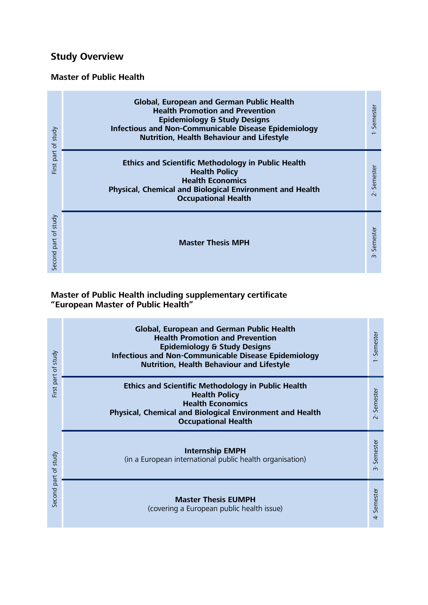# <span id="page-4-0"></span>**Study Overview**

# <span id="page-4-1"></span>**Master of Public Health**

|                         | <b>Global, European and German Public Health</b><br><b>Health Promotion and Prevention</b><br><b>Epidemiology &amp; Study Designs</b><br><b>Infectious and Non-Communicable Disease Epidemiology</b><br>Nutrition, Health Behaviour and Lifestyle | 1 <sup>*</sup> Semester    |
|-------------------------|---------------------------------------------------------------------------------------------------------------------------------------------------------------------------------------------------------------------------------------------------|----------------------------|
| First part of study     | <b>Ethics and Scientific Methodology in Public Health</b><br><b>Health Policy</b><br><b>Health Economics</b><br>Physical, Chemical and Biological Environment and Health<br><b>Occupational Health</b>                                            | 2 <sup>"</sup> Semester    |
| of study<br>Second part | <b>Master Thesis MPH</b>                                                                                                                                                                                                                          | Semester<br>$\mathring{S}$ |

#### <span id="page-4-3"></span><span id="page-4-2"></span>**Master of Public Health including supplementary certificate "European Master of Public Health"**

| First part of study  | <b>Global, European and German Public Health</b><br><b>Health Promotion and Prevention</b><br><b>Epidemiology &amp; Study Designs</b><br><b>Infectious and Non-Communicable Disease Epidemiology</b><br><b>Nutrition, Health Behaviour and Lifestyle</b> | Semester                                            |
|----------------------|----------------------------------------------------------------------------------------------------------------------------------------------------------------------------------------------------------------------------------------------------------|-----------------------------------------------------|
|                      | <b>Ethics and Scientific Methodology in Public Health</b><br><b>Health Policy</b><br><b>Health Economics</b><br><b>Physical, Chemical and Biological Environment and Health</b><br><b>Occupational Health</b>                                            | Semester<br>$\mathbf{z}$                            |
| Second part of study | <b>Internship EMPH</b><br>(in a European international public health organisation)                                                                                                                                                                       | Semester<br>$\mathring{m}$                          |
|                      | <b>Master Thesis EUMPH</b><br>(covering a European public health issue)                                                                                                                                                                                  | Semester<br>$\stackrel{\circ}{\mathbf{\mathsf{d}}}$ |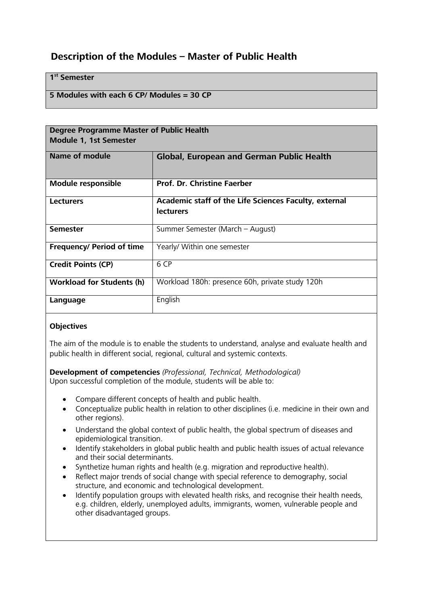# <span id="page-5-0"></span>**Description of the Modules – Master of Public Health**

#### **1st Semester**

#### **5 Modules with each 6 CP/ Modules = 30 CP**

<span id="page-5-1"></span>

| <b>Degree Programme Master of Public Health</b> |                                                                           |  |
|-------------------------------------------------|---------------------------------------------------------------------------|--|
| <b>Module 1, 1st Semester</b>                   |                                                                           |  |
| Name of module                                  | <b>Global, European and German Public Health</b>                          |  |
| <b>Module responsible</b>                       | <b>Prof. Dr. Christine Faerber</b>                                        |  |
| <b>Lecturers</b>                                | Academic staff of the Life Sciences Faculty, external<br><b>lecturers</b> |  |
| <b>Semester</b>                                 | Summer Semester (March - August)                                          |  |
| <b>Frequency/ Period of time</b>                | Yearly/ Within one semester                                               |  |
| <b>Credit Points (CP)</b>                       | 6 CP                                                                      |  |
| <b>Workload for Students (h)</b>                | Workload 180h: presence 60h, private study 120h                           |  |
| Language                                        | English                                                                   |  |

#### **Objectives**

The aim of the module is to enable the students to understand, analyse and evaluate health and public health in different social, regional, cultural and systemic contexts.

**Development of competencies** *(Professional, Technical, Methodological)* Upon successful completion of the module, students will be able to:

- Compare different concepts of health and public health.
- Conceptualize public health in relation to other disciplines (i.e. medicine in their own and other regions).
- Understand the global context of public health, the global spectrum of diseases and epidemiological transition.
- Identify stakeholders in global public health and public health issues of actual relevance and their social determinants.
- Synthetize human rights and health (e.g. migration and reproductive health).
- Reflect major trends of social change with special reference to demography, social structure, and economic and technological development.
- Identify population groups with elevated health risks, and recognise their health needs, e.g. children, elderly, unemployed adults, immigrants, women, vulnerable people and other disadvantaged groups.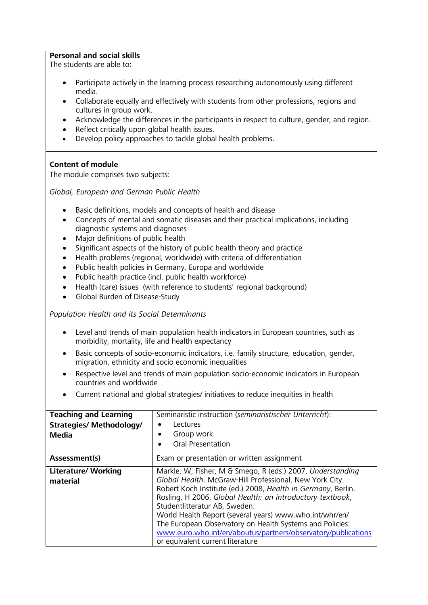#### **Personal and social skills**

The students are able to:

- Participate actively in the learning process researching autonomously using different media.
- Collaborate equally and effectively with students from other professions, regions and cultures in group work.
- Acknowledge the differences in the participants in respect to culture, gender, and region.
- Reflect critically upon global health issues.
- Develop policy approaches to tackle global health problems.

#### **Content of module**

The module comprises two subjects:

*Global, European and German Public Health*

- Basic definitions, models and concepts of health and disease
- Concepts of mental and somatic diseases and their practical implications, including diagnostic systems and diagnoses
- Major definitions of public health
- Significant aspects of the history of public health theory and practice
- Health problems (regional, worldwide) with criteria of differentiation
- Public health policies in Germany, Europa and worldwide
- Public health practice (incl. public health workforce)
- Health (care) issues (with reference to students' regional background)
- Global Burden of Disease-Study

*Population Health and its Social Determinants*

- Level and trends of main population health indicators in European countries, such as morbidity, mortality, life and health expectancy
- Basic concepts of socio-economic indicators, i.e. family structure, education, gender, migration, ethnicity and socio economic inequalities
- Respective level and trends of main population socio-economic indicators in European countries and worldwide
- Current national and global strategies/ initiatives to reduce inequities in health

| <b>Teaching and Learning</b>    | Seminaristic instruction (seminaristischer Unterricht):       |
|---------------------------------|---------------------------------------------------------------|
| <b>Strategies/ Methodology/</b> | Lectures                                                      |
| <b>Media</b>                    | Group work                                                    |
|                                 | Oral Presentation                                             |
| Assessment(s)                   | Exam or presentation or written assignment                    |
| <b>Literature/ Working</b>      | Markle, W, Fisher, M & Smego, R (eds.) 2007, Understanding    |
| material                        | Global Health. McGraw-Hill Professional, New York City.       |
|                                 | Robert Koch Institute (ed.) 2008, Health in Germany, Berlin.  |
|                                 | Rosling, H 2006, Global Health: an introductory textbook,     |
|                                 | Studentlitteratur AB, Sweden.                                 |
|                                 | World Health Report (several years) www.who.int/whr/en/       |
|                                 | The European Observatory on Health Systems and Policies:      |
|                                 | www.euro.who.int/en/aboutus/partners/observatory/publications |
|                                 | or equivalent current literature                              |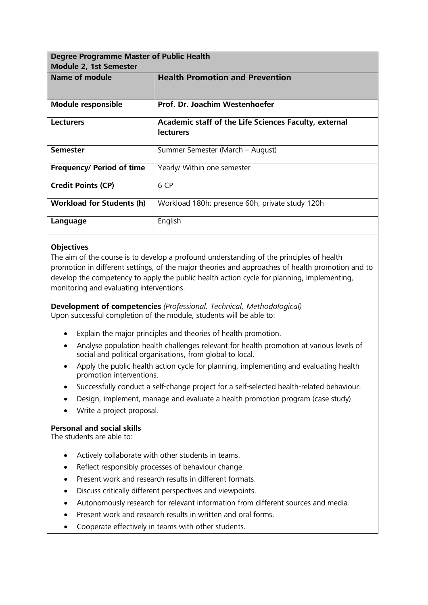<span id="page-7-0"></span>

| Degree Programme Master of Public Health<br><b>Module 2, 1st Semester</b> |                                                                           |  |
|---------------------------------------------------------------------------|---------------------------------------------------------------------------|--|
| <b>Name of module</b>                                                     | <b>Health Promotion and Prevention</b>                                    |  |
| <b>Module responsible</b>                                                 | Prof. Dr. Joachim Westenhoefer                                            |  |
| <b>Lecturers</b>                                                          | Academic staff of the Life Sciences Faculty, external<br><b>lecturers</b> |  |
| <b>Semester</b>                                                           | Summer Semester (March - August)                                          |  |
| <b>Frequency/ Period of time</b>                                          | Yearly/ Within one semester                                               |  |
| <b>Credit Points (CP)</b>                                                 | 6 CP                                                                      |  |
| <b>Workload for Students (h)</b>                                          | Workload 180h: presence 60h, private study 120h                           |  |
| Language                                                                  | English                                                                   |  |

The aim of the course is to develop a profound understanding of the principles of health promotion in different settings, of the major theories and approaches of health promotion and to develop the competency to apply the public health action cycle for planning, implementing, monitoring and evaluating interventions.

**Development of competencies** *(Professional, Technical, Methodological)* Upon successful completion of the module, students will be able to:

- Explain the major principles and theories of health promotion.
- Analyse population health challenges relevant for health promotion at various levels of social and political organisations, from global to local.
- Apply the public health action cycle for planning, implementing and evaluating health promotion interventions.
- Successfully conduct a self-change project for a self-selected health-related behaviour.
- Design, implement, manage and evaluate a health promotion program (case study).
- Write a project proposal.

#### **Personal and social skills**

- Actively collaborate with other students in teams.
- Reflect responsibly processes of behaviour change.
- Present work and research results in different formats.
- Discuss critically different perspectives and viewpoints.
- Autonomously research for relevant information from different sources and media.
- Present work and research results in written and oral forms.
- Cooperate effectively in teams with other students.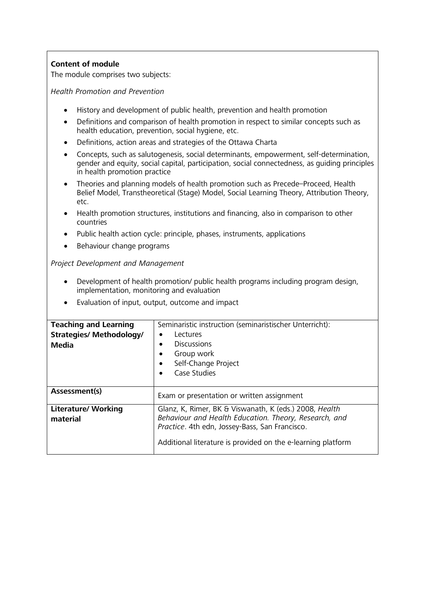The module comprises two subjects:

*Health Promotion and Prevention*

- History and development of public health, prevention and health promotion
- Definitions and comparison of health promotion in respect to similar concepts such as health education, prevention, social hygiene, etc.
- Definitions, action areas and strategies of the Ottawa Charta
- Concepts, such as salutogenesis, social determinants, empowerment, self-determination, gender and equity, social capital, participation, social connectedness, as guiding principles in health promotion practice
- Theories and planning models of health promotion such as Precede–Proceed, Health Belief Model, Transtheoretical (Stage) Model, Social Learning Theory, Attribution Theory, etc.
- Health promotion structures, institutions and financing, also in comparison to other countries
- Public health action cycle: principle, phases, instruments, applications
- Behaviour change programs

*Project Development and Management*

- Development of health promotion/ public health programs including program design, implementation, monitoring and evaluation
- Evaluation of input, output, outcome and impact

| <b>Teaching and Learning</b>    | Seminaristic instruction (seminaristischer Unterricht):      |
|---------------------------------|--------------------------------------------------------------|
| <b>Strategies/ Methodology/</b> | Lectures                                                     |
| Media                           | <b>Discussions</b>                                           |
|                                 | Group work<br>٠                                              |
|                                 | Self-Change Project<br>$\bullet$                             |
|                                 | Case Studies                                                 |
|                                 |                                                              |
| Assessment(s)                   | Exam or presentation or written assignment                   |
| <b>Literature/ Working</b>      | Glanz, K, Rimer, BK & Viswanath, K (eds.) 2008, Health       |
| material                        | Behaviour and Health Education. Theory, Research, and        |
|                                 | Practice. 4th edn, Jossey-Bass, San Francisco.               |
|                                 | Additional literature is provided on the e-learning platform |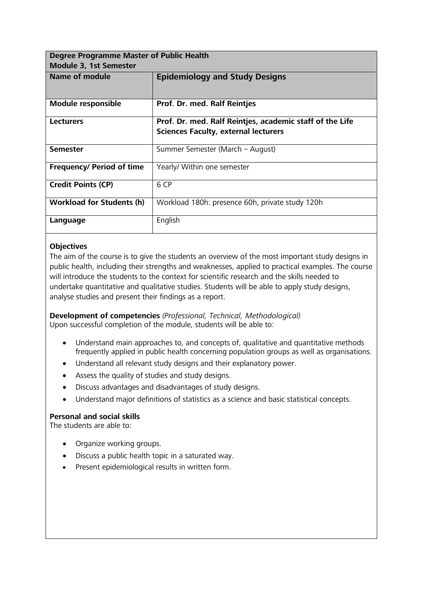<span id="page-9-0"></span>

| <b>Degree Programme Master of Public Health</b> |                                                          |
|-------------------------------------------------|----------------------------------------------------------|
| Module 3, 1st Semester                          |                                                          |
| <b>Name of module</b>                           | <b>Epidemiology and Study Designs</b>                    |
| <b>Module responsible</b>                       | Prof. Dr. med. Ralf Reintjes                             |
| <b>Lecturers</b>                                | Prof. Dr. med. Ralf Reintjes, academic staff of the Life |
|                                                 | <b>Sciences Faculty, external lecturers</b>              |
| <b>Semester</b>                                 | Summer Semester (March – August)                         |
| <b>Frequency/ Period of time</b>                | Yearly/ Within one semester                              |
| <b>Credit Points (CP)</b>                       | 6 CP                                                     |
| <b>Workload for Students (h)</b>                | Workload 180h: presence 60h, private study 120h          |
| Language                                        | English                                                  |

The aim of the course is to give the students an overview of the most important study designs in public health, including their strengths and weaknesses, applied to practical examples. The course will introduce the students to the context for scientific research and the skills needed to undertake quantitative and qualitative studies. Students will be able to apply study designs, analyse studies and present their findings as a report.

**Development of competencies** *(Professional, Technical, Methodological)* Upon successful completion of the module, students will be able to:

- Understand main approaches to, and concepts of, qualitative and quantitative methods frequently applied in public health concerning population groups as well as organisations.
- Understand all relevant study designs and their explanatory power.
- Assess the quality of studies and study designs.
- Discuss advantages and disadvantages of study designs.
- Understand major definitions of statistics as a science and basic statistical concepts.

#### **Personal and social skills**

- Organize working groups.
- Discuss a public health topic in a saturated way.
- Present epidemiological results in written form.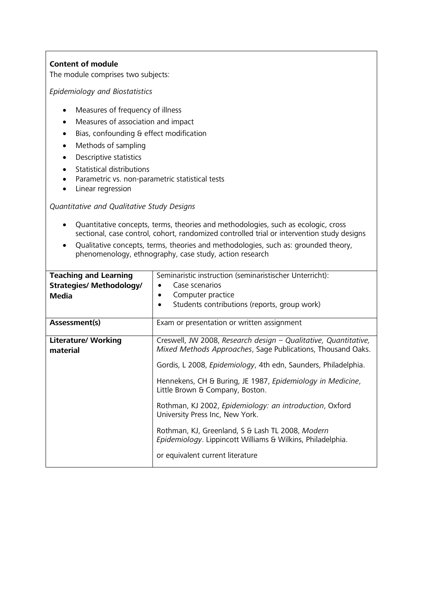The module comprises two subjects:

*Epidemiology and Biostatistics*

- Measures of frequency of illness
- Measures of association and impact
- Bias, confounding & effect modification
- Methods of sampling
- Descriptive statistics
- Statistical distributions
- Parametric vs. non-parametric statistical tests
- Linear regression

#### *Quantitative and Qualitative Study Designs*

- Quantitative concepts, terms, theories and methodologies, such as ecologic, cross sectional, case control, cohort, randomized controlled trial or intervention study designs
- Qualitative concepts, terms, theories and methodologies, such as: grounded theory, phenomenology, ethnography, case study, action research

| <b>Teaching and Learning</b><br><b>Strategies/ Methodology/</b><br><b>Media</b> | Seminaristic instruction (seminaristischer Unterricht):<br>Case scenarios<br>Computer practice<br>Students contributions (reports, group work)                                                                                                                                                                                                                                                                                                                                                                                                                |
|---------------------------------------------------------------------------------|---------------------------------------------------------------------------------------------------------------------------------------------------------------------------------------------------------------------------------------------------------------------------------------------------------------------------------------------------------------------------------------------------------------------------------------------------------------------------------------------------------------------------------------------------------------|
| Assessment(s)                                                                   | Exam or presentation or written assignment                                                                                                                                                                                                                                                                                                                                                                                                                                                                                                                    |
| <b>Literature/ Working</b><br>material                                          | Creswell, JW 2008, Research design - Qualitative, Quantitative,<br>Mixed Methods Approaches, Sage Publications, Thousand Oaks.<br>Gordis, L 2008, <i>Epidemiology</i> , 4th edn, Saunders, Philadelphia.<br>Hennekens, CH & Buring, JE 1987, Epidemiology in Medicine,<br>Little Brown & Company, Boston.<br>Rothman, KJ 2002, Epidemiology: an introduction, Oxford<br>University Press Inc, New York.<br>Rothman, KJ, Greenland, S & Lash TL 2008, Modern<br>Epidemiology. Lippincott Williams & Wilkins, Philadelphia.<br>or equivalent current literature |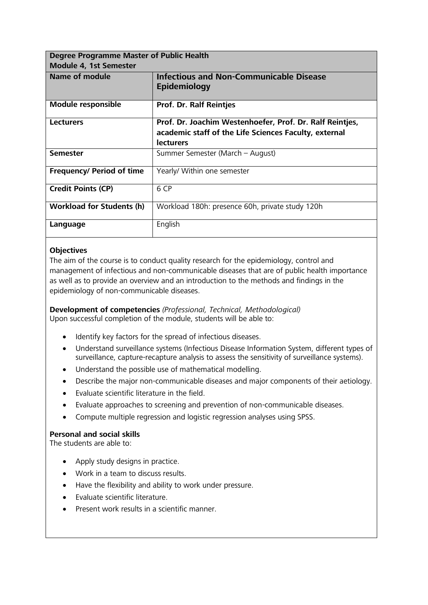<span id="page-11-0"></span>

| <b>Degree Programme Master of Public Health</b> |                                                                                                                                       |  |
|-------------------------------------------------|---------------------------------------------------------------------------------------------------------------------------------------|--|
| Module 4, 1st Semester                          |                                                                                                                                       |  |
| <b>Name of module</b>                           | <b>Infectious and Non-Communicable Disease</b><br>Epidemiology                                                                        |  |
| <b>Module responsible</b>                       | <b>Prof. Dr. Ralf Reintjes</b>                                                                                                        |  |
| <b>Lecturers</b>                                | Prof. Dr. Joachim Westenhoefer, Prof. Dr. Ralf Reintjes,<br>academic staff of the Life Sciences Faculty, external<br><b>lecturers</b> |  |
| <b>Semester</b>                                 | Summer Semester (March – August)                                                                                                      |  |
| <b>Frequency/ Period of time</b>                | Yearly/ Within one semester                                                                                                           |  |
| <b>Credit Points (CP)</b>                       | 6 CP                                                                                                                                  |  |
| <b>Workload for Students (h)</b>                | Workload 180h: presence 60h, private study 120h                                                                                       |  |
| Language                                        | English                                                                                                                               |  |

The aim of the course is to conduct quality research for the epidemiology, control and management of infectious and non-communicable diseases that are of public health importance as well as to provide an overview and an introduction to the methods and findings in the epidemiology of non-communicable diseases.

**Development of competencies** *(Professional, Technical, Methodological)* Upon successful completion of the module, students will be able to:

- Identify key factors for the spread of infectious diseases.
- Understand surveillance systems (Infectious Disease Information System, different types of surveillance, capture-recapture analysis to assess the sensitivity of surveillance systems).
- Understand the possible use of mathematical modelling.
- Describe the major non-communicable diseases and major components of their aetiology.
- Evaluate scientific literature in the field.
- Evaluate approaches to screening and prevention of non-communicable diseases.
- Compute multiple regression and logistic regression analyses using SPSS.

#### **Personal and social skills**

- Apply study designs in practice.
- Work in a team to discuss results.
- Have the flexibility and ability to work under pressure.
- Evaluate scientific literature.
- Present work results in a scientific manner.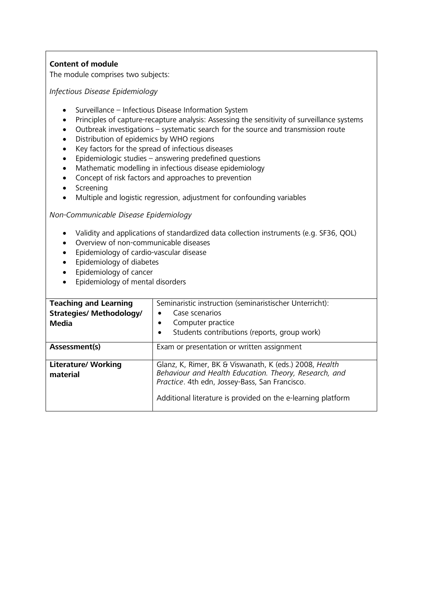The module comprises two subjects:

*Infectious Disease Epidemiology*

- Surveillance Infectious Disease Information System
- Principles of capture-recapture analysis: Assessing the sensitivity of surveillance systems
- Outbreak investigations systematic search for the source and transmission route
- Distribution of epidemics by WHO regions
- Key factors for the spread of infectious diseases
- Epidemiologic studies answering predefined questions
- Mathematic modelling in infectious disease epidemiology
- Concept of risk factors and approaches to prevention
- Screening
- Multiple and logistic regression, adjustment for confounding variables

*Non-Communicable Disease Epidemiology*

- Validity and applications of standardized data collection instruments (e.g. SF36, QOL)
- Overview of non-communicable diseases
- Epidemiology of cardio-vascular disease
- Epidemiology of diabetes
- Epidemiology of cancer
- Epidemiology of mental disorders

| <b>Teaching and Learning</b>           | Seminaristic instruction (seminaristischer Unterricht):                                                                                                           |
|----------------------------------------|-------------------------------------------------------------------------------------------------------------------------------------------------------------------|
| <b>Strategies/ Methodology/</b>        | Case scenarios                                                                                                                                                    |
| Media                                  | Computer practice                                                                                                                                                 |
|                                        | Students contributions (reports, group work)<br>$\bullet$                                                                                                         |
| Assessment(s)                          | Exam or presentation or written assignment                                                                                                                        |
| <b>Literature/ Working</b><br>material | Glanz, K, Rimer, BK & Viswanath, K (eds.) 2008, Health<br>Behaviour and Health Education. Theory, Research, and<br>Practice. 4th edn, Jossey-Bass, San Francisco. |
|                                        | Additional literature is provided on the e-learning platform                                                                                                      |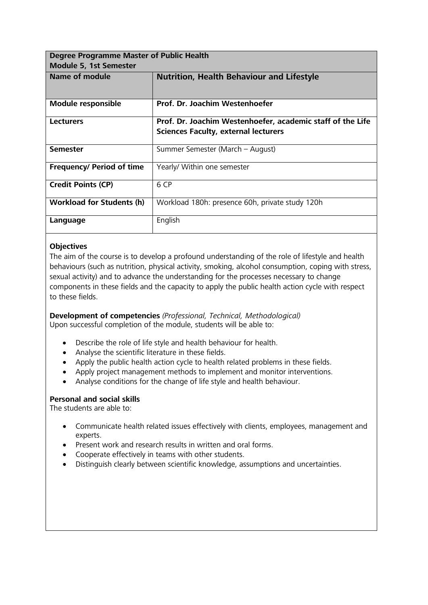<span id="page-13-0"></span>

| <b>Degree Programme Master of Public Health</b> |                                                                                                           |
|-------------------------------------------------|-----------------------------------------------------------------------------------------------------------|
| Module 5, 1st Semester                          |                                                                                                           |
| Name of module                                  | <b>Nutrition, Health Behaviour and Lifestyle</b>                                                          |
| <b>Module responsible</b>                       | Prof. Dr. Joachim Westenhoefer                                                                            |
| <b>Lecturers</b>                                | Prof. Dr. Joachim Westenhoefer, academic staff of the Life<br><b>Sciences Faculty, external lecturers</b> |
| <b>Semester</b>                                 | Summer Semester (March - August)                                                                          |
| <b>Frequency/ Period of time</b>                | Yearly/ Within one semester                                                                               |
| <b>Credit Points (CP)</b>                       | 6 CP                                                                                                      |
| <b>Workload for Students (h)</b>                | Workload 180h: presence 60h, private study 120h                                                           |
| Language                                        | English                                                                                                   |

The aim of the course is to develop a profound understanding of the role of lifestyle and health behaviours (such as nutrition, physical activity, smoking, alcohol consumption, coping with stress, sexual activity) and to advance the understanding for the processes necessary to change components in these fields and the capacity to apply the public health action cycle with respect to these fields.

**Development of competencies** *(Professional, Technical, Methodological)* Upon successful completion of the module, students will be able to:

- Describe the role of life style and health behaviour for health.
- Analyse the scientific literature in these fields.
- Apply the public health action cycle to health related problems in these fields.
- Apply project management methods to implement and monitor interventions.
- Analyse conditions for the change of life style and health behaviour.

#### **Personal and social skills**

- Communicate health related issues effectively with clients, employees, management and experts.
- Present work and research results in written and oral forms.
- Cooperate effectively in teams with other students.
- Distinguish clearly between scientific knowledge, assumptions and uncertainties.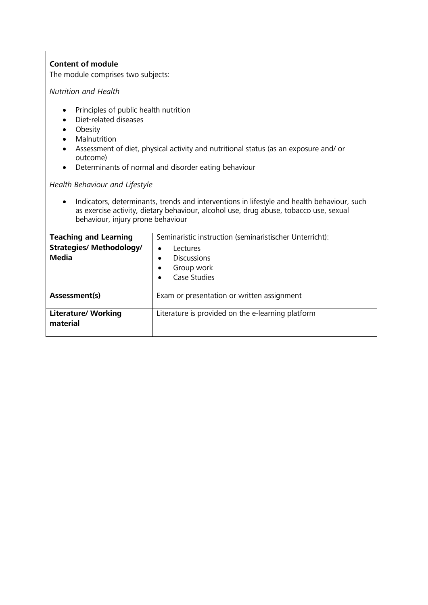The module comprises two subjects:

*Nutrition and Health*

- Principles of public health nutrition
- Diet-related diseases
- Obesity
- Malnutrition
- Assessment of diet, physical activity and nutritional status (as an exposure and/ or outcome)
- Determinants of normal and disorder eating behaviour

*Health Behaviour and Lifestyle*

• Indicators, determinants, trends and interventions in lifestyle and health behaviour, such as exercise activity, dietary behaviour, alcohol use, drug abuse, tobacco use, sexual behaviour, injury prone behaviour

| <b>Teaching and Learning</b><br><b>Strategies/ Methodology/</b><br><b>Media</b> | Seminaristic instruction (seminaristischer Unterricht):<br>Lectures<br>$\bullet$<br><b>Discussions</b><br>٠<br>Group work<br>$\bullet$<br>Case Studies |
|---------------------------------------------------------------------------------|--------------------------------------------------------------------------------------------------------------------------------------------------------|
| Assessment(s)                                                                   | Exam or presentation or written assignment                                                                                                             |
| <b>Literature/ Working</b><br>material                                          | Literature is provided on the e-learning platform                                                                                                      |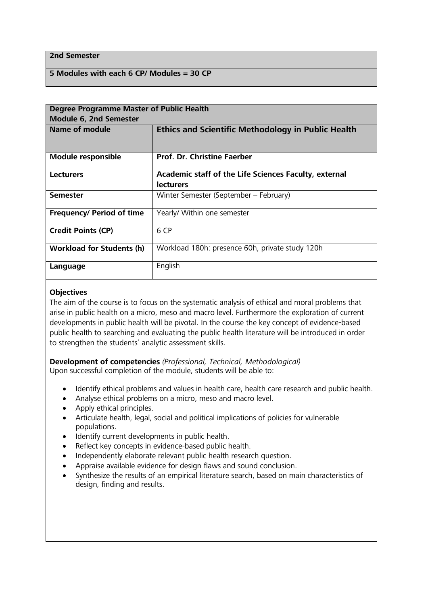#### **2nd Semester**

#### **5 Modules with each 6 CP/ Modules = 30 CP**

<span id="page-15-0"></span>

| <b>Degree Programme Master of Public Health</b> |                                                           |
|-------------------------------------------------|-----------------------------------------------------------|
| <b>Module 6, 2nd Semester</b>                   |                                                           |
| Name of module                                  | <b>Ethics and Scientific Methodology in Public Health</b> |
|                                                 |                                                           |
| <b>Module responsible</b>                       | <b>Prof. Dr. Christine Faerber</b>                        |
|                                                 |                                                           |
| <b>Lecturers</b>                                | Academic staff of the Life Sciences Faculty, external     |
|                                                 | <b>lecturers</b>                                          |
| <b>Semester</b>                                 | Winter Semester (September - February)                    |
|                                                 |                                                           |
| <b>Frequency/ Period of time</b>                | Yearly/ Within one semester                               |
|                                                 |                                                           |
| <b>Credit Points (CP)</b>                       | 6 CP                                                      |
|                                                 |                                                           |
| <b>Workload for Students (h)</b>                | Workload 180h: presence 60h, private study 120h           |
|                                                 |                                                           |
| Language                                        | English                                                   |
|                                                 |                                                           |

#### **Objectives**

The aim of the course is to focus on the systematic analysis of ethical and moral problems that arise in public health on a micro, meso and macro level. Furthermore the exploration of current developments in public health will be pivotal. In the course the key concept of evidence-based public health to searching and evaluating the public health literature will be introduced in order to strengthen the students' analytic assessment skills.

**Development of competencies** *(Professional, Technical, Methodological)* Upon successful completion of the module, students will be able to:

- Identify ethical problems and values in health care, health care research and public health.
- Analyse ethical problems on a micro, meso and macro level.
- Apply ethical principles.
- Articulate health, legal, social and political implications of policies for vulnerable populations.
- Identify current developments in public health.
- Reflect key concepts in evidence-based public health.
- Independently elaborate relevant public health research question.
- Appraise available evidence for design flaws and sound conclusion.
- Synthesize the results of an empirical literature search, based on main characteristics of design, finding and results.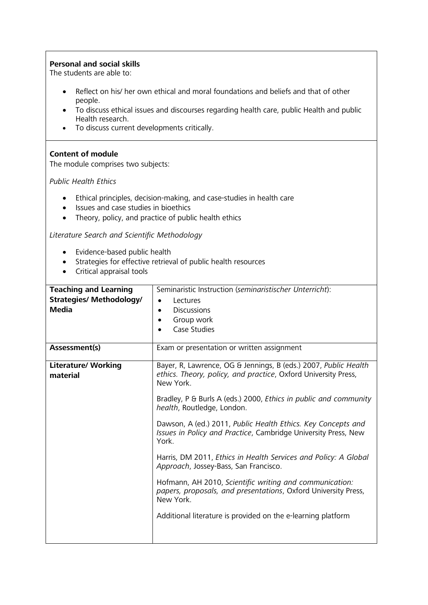#### **Personal and social skills**

The students are able to:

- Reflect on his/ her own ethical and moral foundations and beliefs and that of other people.
- To discuss ethical issues and discourses regarding health care, public Health and public Health research.
- To discuss current developments critically.

#### **Content of module**

The module comprises two subjects:

*Public Health Ethics*

- Ethical principles, decision-making, and case-studies in health care
- Issues and case studies in bioethics
- Theory, policy, and practice of public health ethics

*Literature Search and Scientific Methodology*

- Evidence-based public health
- Strategies for effective retrieval of public health resources
- Critical appraisal tools

| <b>Teaching and Learning</b>           | Seminaristic Instruction (seminaristischer Unterricht):                                                                                        |
|----------------------------------------|------------------------------------------------------------------------------------------------------------------------------------------------|
| <b>Strategies/ Methodology/</b>        | Lectures                                                                                                                                       |
| <b>Media</b>                           | <b>Discussions</b>                                                                                                                             |
|                                        | Group work                                                                                                                                     |
|                                        | Case Studies                                                                                                                                   |
|                                        |                                                                                                                                                |
| Assessment(s)                          | Exam or presentation or written assignment                                                                                                     |
| <b>Literature/ Working</b><br>material | Bayer, R, Lawrence, OG & Jennings, B (eds.) 2007, Public Health<br>ethics. Theory, policy, and practice, Oxford University Press,<br>New York. |
|                                        | Bradley, P & Burls A (eds.) 2000, Ethics in public and community<br>health, Routledge, London.                                                 |
|                                        | Dawson, A (ed.) 2011, Public Health Ethics. Key Concepts and<br>Issues in Policy and Practice, Cambridge University Press, New<br>York.        |
|                                        | Harris, DM 2011, Ethics in Health Services and Policy: A Global<br>Approach, Jossey-Bass, San Francisco.                                       |
|                                        | Hofmann, AH 2010, Scientific writing and communication:<br>papers, proposals, and presentations, Oxford University Press,<br>New York.         |
|                                        | Additional literature is provided on the e-learning platform                                                                                   |
|                                        |                                                                                                                                                |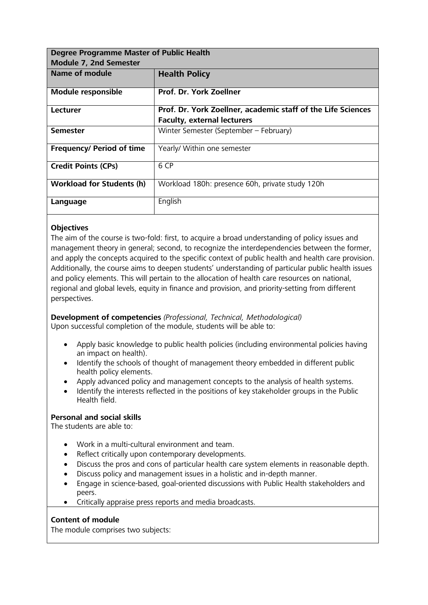<span id="page-17-0"></span>

| <b>Degree Programme Master of Public Health</b> |                                                              |
|-------------------------------------------------|--------------------------------------------------------------|
| <b>Module 7, 2nd Semester</b>                   |                                                              |
| Name of module                                  | <b>Health Policy</b>                                         |
|                                                 |                                                              |
| <b>Module responsible</b>                       | Prof. Dr. York Zoellner                                      |
| Lecturer                                        | Prof. Dr. York Zoellner, academic staff of the Life Sciences |
|                                                 | <b>Faculty, external lecturers</b>                           |
| <b>Semester</b>                                 | Winter Semester (September - February)                       |
| <b>Frequency/ Period of time</b>                | Yearly/ Within one semester                                  |
| <b>Credit Points (CPs)</b>                      | 6 CP                                                         |
| <b>Workload for Students (h)</b>                | Workload 180h: presence 60h, private study 120h              |
| Language                                        | English                                                      |

The aim of the course is two-fold: first, to acquire a broad understanding of policy issues and management theory in general; second, to recognize the interdependencies between the former, and apply the concepts acquired to the specific context of public health and health care provision. Additionally, the course aims to deepen students' understanding of particular public health issues and policy elements. This will pertain to the allocation of health care resources on national, regional and global levels, equity in finance and provision, and priority-setting from different perspectives.

**Development of competencies** *(Professional, Technical, Methodological)* Upon successful completion of the module, students will be able to:

- Apply basic knowledge to public health policies (including environmental policies having an impact on health).
- Identify the schools of thought of management theory embedded in different public health policy elements.
- Apply advanced policy and management concepts to the analysis of health systems.
- Identify the interests reflected in the positions of key stakeholder groups in the Public Health field.

#### **Personal and social skills**

The students are able to:

- Work in a multi-cultural environment and team.
- Reflect critically upon contemporary developments.
- Discuss the pros and cons of particular health care system elements in reasonable depth.
- Discuss policy and management issues in a holistic and in-depth manner.
- Engage in science-based, goal-oriented discussions with Public Health stakeholders and peers.
- Critically appraise press reports and media broadcasts.

#### **Content of module**

The module comprises two subjects: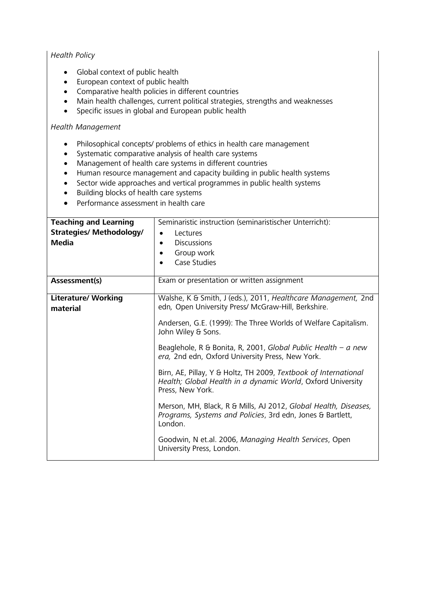#### *Health Policy*

- Global context of public health
- European context of public health
- Comparative health policies in different countries
- Main health challenges, current political strategies, strengths and weaknesses
- Specific issues in global and European public health

#### *Health Management*

- Philosophical concepts/ problems of ethics in health care management
- Systematic comparative analysis of health care systems
- Management of health care systems in different countries
- Human resource management and capacity building in public health systems
- Sector wide approaches and vertical programmes in public health systems
- Building blocks of health care systems
- Performance assessment in health care

| <b>Teaching and Learning</b>           | Seminaristic instruction (seminaristischer Unterricht):                                                                                            |
|----------------------------------------|----------------------------------------------------------------------------------------------------------------------------------------------------|
| <b>Strategies/ Methodology/</b>        | Lectures<br>$\bullet$                                                                                                                              |
| <b>Media</b>                           | <b>Discussions</b>                                                                                                                                 |
|                                        | Group work                                                                                                                                         |
|                                        | Case Studies                                                                                                                                       |
| Assessment(s)                          | Exam or presentation or written assignment                                                                                                         |
| <b>Literature/ Working</b><br>material | Walshe, K & Smith, J (eds.), 2011, Healthcare Management, 2nd<br>edn, Open University Press/ McGraw-Hill, Berkshire.                               |
|                                        | Andersen, G.E. (1999): The Three Worlds of Welfare Capitalism.<br>John Wiley & Sons.                                                               |
|                                        | Beaglehole, R & Bonita, R, 2001, Global Public Health – a new<br>era, 2nd edn, Oxford University Press, New York.                                  |
|                                        | Birn, AE, Pillay, Y & Holtz, TH 2009, Textbook of International<br>Health; Global Health in a dynamic World, Oxford University<br>Press, New York. |
|                                        | Merson, MH, Black, R & Mills, AJ 2012, Global Health, Diseases,<br>Programs, Systems and Policies, 3rd edn, Jones & Bartlett,<br>London.           |
|                                        | Goodwin, N et.al. 2006, Managing Health Services, Open<br>University Press, London.                                                                |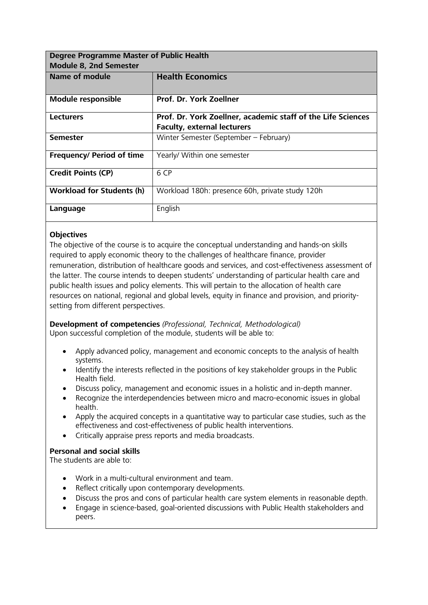<span id="page-19-0"></span>

| <b>Degree Programme Master of Public Health</b> |                                                              |
|-------------------------------------------------|--------------------------------------------------------------|
| <b>Module 8, 2nd Semester</b>                   |                                                              |
| Name of module                                  | <b>Health Economics</b>                                      |
|                                                 |                                                              |
| <b>Module responsible</b>                       | Prof. Dr. York Zoellner                                      |
| <b>Lecturers</b>                                | Prof. Dr. York Zoellner, academic staff of the Life Sciences |
|                                                 | <b>Faculty, external lecturers</b>                           |
| <b>Semester</b>                                 | Winter Semester (September - February)                       |
| <b>Frequency/ Period of time</b>                | Yearly/ Within one semester                                  |
| <b>Credit Points (CP)</b>                       | 6 CP                                                         |
| <b>Workload for Students (h)</b>                | Workload 180h: presence 60h, private study 120h              |
| Language                                        | English                                                      |

The objective of the course is to acquire the conceptual understanding and hands-on skills required to apply economic theory to the challenges of healthcare finance, provider remuneration, distribution of healthcare goods and services, and cost-effectiveness assessment of the latter. The course intends to deepen students' understanding of particular health care and public health issues and policy elements. This will pertain to the allocation of health care resources on national, regional and global levels, equity in finance and provision, and prioritysetting from different perspectives.

**Development of competencies** *(Professional, Technical, Methodological)* Upon successful completion of the module, students will be able to:

- Apply advanced policy, management and economic concepts to the analysis of health systems.
- Identify the interests reflected in the positions of key stakeholder groups in the Public Health field.
- Discuss policy, management and economic issues in a holistic and in-depth manner.
- Recognize the interdependencies between micro and macro-economic issues in global health.
- Apply the acquired concepts in a quantitative way to particular case studies, such as the effectiveness and cost-effectiveness of public health interventions.
- Critically appraise press reports and media broadcasts.

#### **Personal and social skills**

- Work in a multi-cultural environment and team.
- Reflect critically upon contemporary developments.
- Discuss the pros and cons of particular health care system elements in reasonable depth.
- Engage in science-based, goal-oriented discussions with Public Health stakeholders and peers.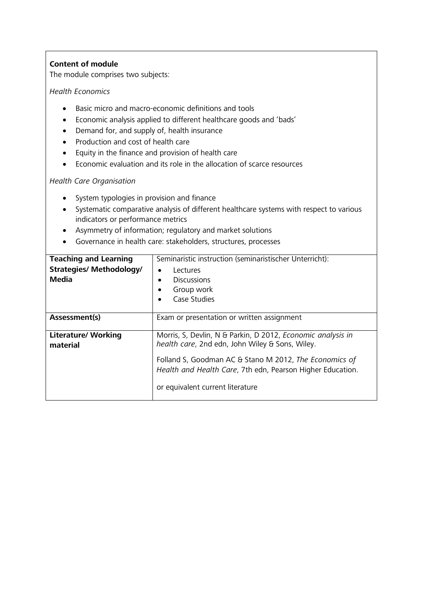The module comprises two subjects:

#### *Health Economics*

- Basic micro and macro-economic definitions and tools
- Economic analysis applied to different healthcare goods and 'bads'
- Demand for, and supply of, health insurance
- Production and cost of health care
- Equity in the finance and provision of health care
- Economic evaluation and its role in the allocation of scarce resources

#### *Health Care Organisation*

- System typologies in provision and finance
- Systematic comparative analysis of different healthcare systems with respect to various indicators or performance metrics
- Asymmetry of information; regulatory and market solutions
- Governance in health care: stakeholders, structures, processes

| <b>Teaching and Learning</b>    | Seminaristic instruction (seminaristischer Unterricht):                                                              |
|---------------------------------|----------------------------------------------------------------------------------------------------------------------|
| <b>Strategies/ Methodology/</b> | Lectures<br>٠                                                                                                        |
| <b>Media</b>                    | <b>Discussions</b><br>$\bullet$                                                                                      |
|                                 | Group work<br>٠                                                                                                      |
|                                 | Case Studies<br>$\bullet$                                                                                            |
|                                 |                                                                                                                      |
| Assessment(s)                   | Exam or presentation or written assignment                                                                           |
|                                 |                                                                                                                      |
| <b>Literature/ Working</b>      | Morris, S, Devlin, N & Parkin, D 2012, Economic analysis in                                                          |
| material                        | health care, 2nd edn, John Wiley & Sons, Wiley.                                                                      |
|                                 | Folland S, Goodman AC & Stano M 2012, The Economics of<br>Health and Health Care, 7th edn, Pearson Higher Education. |
|                                 | or equivalent current literature                                                                                     |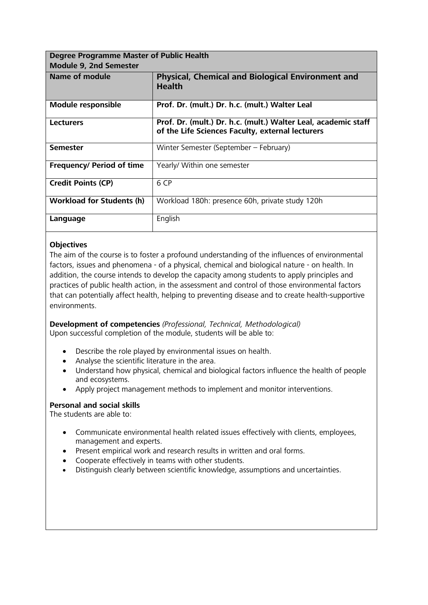<span id="page-21-0"></span>

| <b>Degree Programme Master of Public Health</b> |                                                                                                                    |
|-------------------------------------------------|--------------------------------------------------------------------------------------------------------------------|
| <b>Module 9, 2nd Semester</b>                   |                                                                                                                    |
| <b>Name of module</b>                           | <b>Physical, Chemical and Biological Environment and</b><br><b>Health</b>                                          |
| <b>Module responsible</b>                       | Prof. Dr. (mult.) Dr. h.c. (mult.) Walter Leal                                                                     |
| <b>Lecturers</b>                                | Prof. Dr. (mult.) Dr. h.c. (mult.) Walter Leal, academic staff<br>of the Life Sciences Faculty, external lecturers |
| <b>Semester</b>                                 | Winter Semester (September – February)                                                                             |
| <b>Frequency/ Period of time</b>                | Yearly/ Within one semester                                                                                        |
| <b>Credit Points (CP)</b>                       | 6 CP                                                                                                               |
| <b>Workload for Students (h)</b>                | Workload 180h: presence 60h, private study 120h                                                                    |
| Language                                        | English                                                                                                            |

The aim of the course is to foster a profound understanding of the influences of environmental factors, issues and phenomena - of a physical, chemical and biological nature - on health. In addition, the course intends to develop the capacity among students to apply principles and practices of public health action, in the assessment and control of those environmental factors that can potentially affect health, helping to preventing disease and to create health-supportive environments.

**Development of competencies** *(Professional, Technical, Methodological)* Upon successful completion of the module, students will be able to:

- Describe the role played by environmental issues on health.
- Analyse the scientific literature in the area.
- Understand how physical, chemical and biological factors influence the health of people and ecosystems.
- Apply project management methods to implement and monitor interventions.

#### **Personal and social skills**

- Communicate environmental health related issues effectively with clients, employees, management and experts.
- Present empirical work and research results in written and oral forms.
- Cooperate effectively in teams with other students.
- Distinguish clearly between scientific knowledge, assumptions and uncertainties.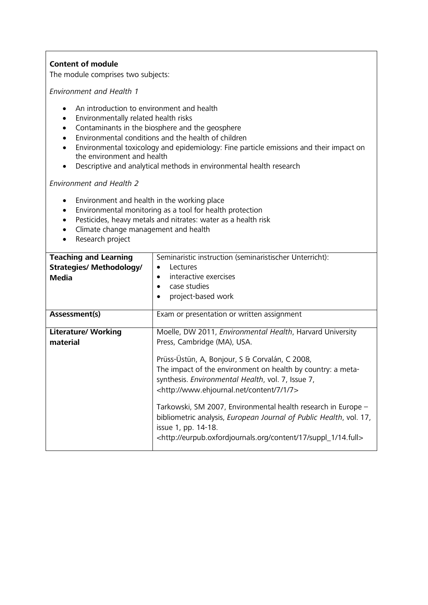The module comprises two subjects:

*Environment and Health 1*

- An introduction to environment and health
- Environmentally related health risks
- Contaminants in the biosphere and the geosphere
- Environmental conditions and the health of children
- Environmental toxicology and epidemiology: Fine particle emissions and their impact on the environment and health
- Descriptive and analytical methods in environmental health research

*Environment and Health 2*

- Environment and health in the working place
- Environmental monitoring as a tool for health protection
- Pesticides, heavy metals and nitrates: water as a health risk
- Climate change management and health
- Research project

| <b>Teaching and Learning</b><br><b>Strategies/ Methodology/</b><br><b>Media</b> | Seminaristic instruction (seminaristischer Unterricht):<br>Lectures<br>$\bullet$<br>interactive exercises<br>$\bullet$<br>case studies<br>٠<br>project-based work<br>$\bullet$                                                                                                                                                                                                                                                                                                                                                                                                       |
|---------------------------------------------------------------------------------|--------------------------------------------------------------------------------------------------------------------------------------------------------------------------------------------------------------------------------------------------------------------------------------------------------------------------------------------------------------------------------------------------------------------------------------------------------------------------------------------------------------------------------------------------------------------------------------|
| Assessment(s)                                                                   | Exam or presentation or written assignment                                                                                                                                                                                                                                                                                                                                                                                                                                                                                                                                           |
| <b>Literature/ Working</b><br>material                                          | Moelle, DW 2011, Environmental Health, Harvard University<br>Press, Cambridge (MA), USA.<br>Prüss-Üstün, A, Bonjour, S & Corvalán, C 2008,<br>The impact of the environment on health by country: a meta-<br>synthesis. Environmental Health, vol. 7, Issue 7,<br><http: 1="" 7="" content="" www.ehjournal.net=""><br/>Tarkowski, SM 2007, Environmental health research in Europe -<br/>bibliometric analysis, European Journal of Public Health, vol. 17,<br/>issue 1, pp. 14-18.<br/><http: 14.full="" 17="" content="" eurpub.oxfordjournals.org="" suppl_1=""></http:></http:> |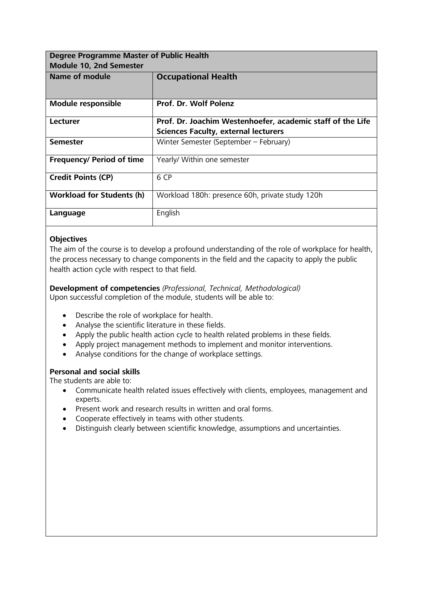<span id="page-23-0"></span>

| Degree Programme Master of Public Health |                                                            |
|------------------------------------------|------------------------------------------------------------|
| Module 10, 2nd Semester                  |                                                            |
| Name of module                           | <b>Occupational Health</b>                                 |
|                                          |                                                            |
| <b>Module responsible</b>                | Prof. Dr. Wolf Polenz                                      |
| <b>Lecturer</b>                          | Prof. Dr. Joachim Westenhoefer, academic staff of the Life |
|                                          | <b>Sciences Faculty, external lecturers</b>                |
| <b>Semester</b>                          | Winter Semester (September - February)                     |
| <b>Frequency/ Period of time</b>         | Yearly/ Within one semester                                |
| <b>Credit Points (CP)</b>                | 6 CP                                                       |
| <b>Workload for Students (h)</b>         | Workload 180h: presence 60h, private study 120h            |
| Language                                 | English                                                    |

The aim of the course is to develop a profound understanding of the role of workplace for health, the process necessary to change components in the field and the capacity to apply the public health action cycle with respect to that field.

**Development of competencies** *(Professional, Technical, Methodological)* Upon successful completion of the module, students will be able to:

- Describe the role of workplace for health.
- Analyse the scientific literature in these fields.
- Apply the public health action cycle to health related problems in these fields.
- Apply project management methods to implement and monitor interventions.
- Analyse conditions for the change of workplace settings.

#### **Personal and social skills**

- Communicate health related issues effectively with clients, employees, management and experts.
- Present work and research results in written and oral forms.
- Cooperate effectively in teams with other students.
- Distinguish clearly between scientific knowledge, assumptions and uncertainties.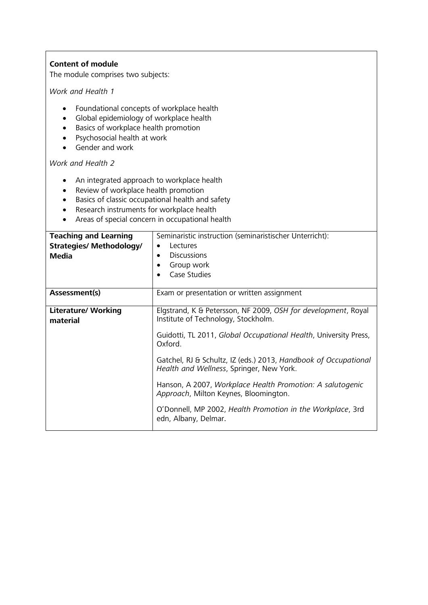The module comprises two subjects:

*Work and Health 1*

- Foundational concepts of workplace health
- Global epidemiology of workplace health
- Basics of workplace health promotion
- Psychosocial health at work
- Gender and work

*Work and Health 2*

- An integrated approach to workplace health
- Review of workplace health promotion
- Basics of classic occupational health and safety
- Research instruments for workplace health
- Areas of special concern in occupational health

| <b>Teaching and Learning</b><br><b>Strategies/ Methodology/</b><br>Media | Seminaristic instruction (seminaristischer Unterricht):<br>Lectures<br>٠<br><b>Discussions</b><br>$\bullet$<br>Group work<br>Case Studies                                           |
|--------------------------------------------------------------------------|-------------------------------------------------------------------------------------------------------------------------------------------------------------------------------------|
| Assessment(s)                                                            | Exam or presentation or written assignment                                                                                                                                          |
| <b>Literature/ Working</b><br>material                                   | Elgstrand, K & Petersson, NF 2009, OSH for development, Royal<br>Institute of Technology, Stockholm.<br>Guidotti, TL 2011, Global Occupational Health, University Press,<br>Oxford. |
|                                                                          | Gatchel, RJ & Schultz, IZ (eds.) 2013, Handbook of Occupational<br>Health and Wellness, Springer, New York.                                                                         |
|                                                                          | Hanson, A 2007, Workplace Health Promotion: A salutogenic<br>Approach, Milton Keynes, Bloomington.                                                                                  |
|                                                                          | O'Donnell, MP 2002, Health Promotion in the Workplace, 3rd<br>edn, Albany, Delmar.                                                                                                  |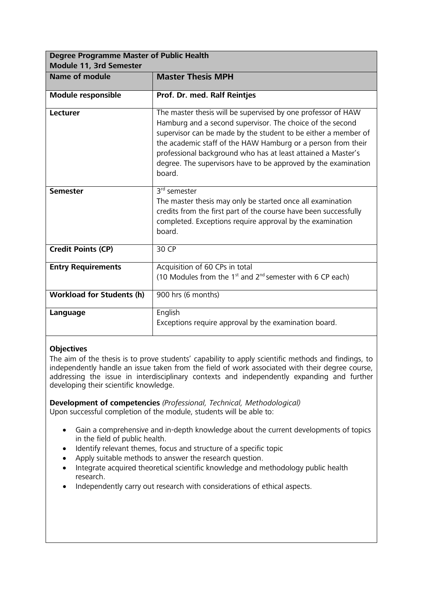<span id="page-25-0"></span>

| <b>Degree Programme Master of Public Health</b><br><b>Module 11, 3rd Semester</b> |                                                                                                                                                                                                                                                                                                                                                                                                         |
|-----------------------------------------------------------------------------------|---------------------------------------------------------------------------------------------------------------------------------------------------------------------------------------------------------------------------------------------------------------------------------------------------------------------------------------------------------------------------------------------------------|
| <b>Name of module</b>                                                             | <b>Master Thesis MPH</b>                                                                                                                                                                                                                                                                                                                                                                                |
| <b>Module responsible</b>                                                         | Prof. Dr. med. Ralf Reintjes                                                                                                                                                                                                                                                                                                                                                                            |
| Lecturer                                                                          | The master thesis will be supervised by one professor of HAW<br>Hamburg and a second supervisor. The choice of the second<br>supervisor can be made by the student to be either a member of<br>the academic staff of the HAW Hamburg or a person from their<br>professional background who has at least attained a Master's<br>degree. The supervisors have to be approved by the examination<br>board. |
| <b>Semester</b>                                                                   | 3 <sup>rd</sup> semester<br>The master thesis may only be started once all examination<br>credits from the first part of the course have been successfully<br>completed. Exceptions require approval by the examination<br>board.                                                                                                                                                                       |
| <b>Credit Points (CP)</b>                                                         | 30 CP                                                                                                                                                                                                                                                                                                                                                                                                   |
| <b>Entry Requirements</b>                                                         | Acquisition of 60 CPs in total<br>(10 Modules from the $1st$ and $2nd$ semester with 6 CP each)                                                                                                                                                                                                                                                                                                         |
| <b>Workload for Students (h)</b>                                                  | 900 hrs (6 months)                                                                                                                                                                                                                                                                                                                                                                                      |
| Language                                                                          | English<br>Exceptions require approval by the examination board.                                                                                                                                                                                                                                                                                                                                        |

The aim of the thesis is to prove students' capability to apply scientific methods and findings, to independently handle an issue taken from the field of work associated with their degree course, addressing the issue in interdisciplinary contexts and independently expanding and further developing their scientific knowledge.

**Development of competencies** *(Professional, Technical, Methodological)* Upon successful completion of the module, students will be able to:

- Gain a comprehensive and in-depth knowledge about the current developments of topics in the field of public health.
- Identify relevant themes, focus and structure of a specific topic
- Apply suitable methods to answer the research question.
- Integrate acquired theoretical scientific knowledge and methodology public health research.
- Independently carry out research with considerations of ethical aspects.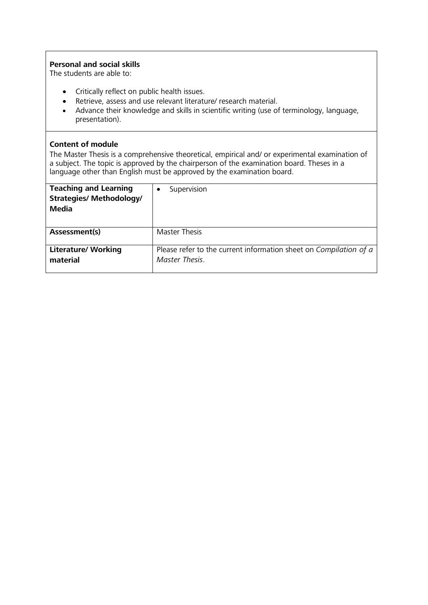#### **Personal and social skills**

The students are able to:

- Critically reflect on public health issues.
- Retrieve, assess and use relevant literature/ research material.
- Advance their knowledge and skills in scientific writing (use of terminology, language, presentation).

#### **Content of module**

The Master Thesis is a comprehensive theoretical, empirical and/ or experimental examination of a subject. The topic is approved by the chairperson of the examination board. Theses in a language other than English must be approved by the examination board.

| <b>Teaching and Learning</b><br><b>Strategies/ Methodology/</b><br>Media | Supervision                                                                         |
|--------------------------------------------------------------------------|-------------------------------------------------------------------------------------|
| Assessment(s)                                                            | <b>Master Thesis</b>                                                                |
| <b>Literature/ Working</b><br>material                                   | Please refer to the current information sheet on Compilation of a<br>Master Thesis. |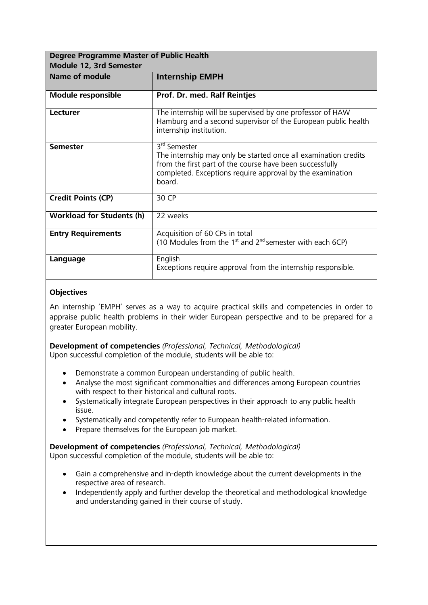<span id="page-27-0"></span>

| <b>Degree Programme Master of Public Health</b> |                                                                                                                                                                                                                                |  |  |  |
|-------------------------------------------------|--------------------------------------------------------------------------------------------------------------------------------------------------------------------------------------------------------------------------------|--|--|--|
| Module 12, 3rd Semester                         |                                                                                                                                                                                                                                |  |  |  |
| <b>Name of module</b>                           | <b>Internship EMPH</b>                                                                                                                                                                                                         |  |  |  |
|                                                 |                                                                                                                                                                                                                                |  |  |  |
| <b>Module responsible</b>                       | Prof. Dr. med. Ralf Reintjes                                                                                                                                                                                                   |  |  |  |
| Lecturer                                        | The internship will be supervised by one professor of HAW<br>Hamburg and a second supervisor of the European public health<br>internship institution.                                                                          |  |  |  |
| <b>Semester</b>                                 | 3 <sup>rd</sup> Semester<br>The internship may only be started once all examination credits<br>from the first part of the course have been successfully<br>completed. Exceptions require approval by the examination<br>board. |  |  |  |
| <b>Credit Points (CP)</b>                       | 30 CP                                                                                                                                                                                                                          |  |  |  |
| <b>Workload for Students (h)</b>                | 22 weeks                                                                                                                                                                                                                       |  |  |  |
| <b>Entry Requirements</b>                       | Acquisition of 60 CPs in total<br>(10 Modules from the 1 <sup>st</sup> and $2^{nd}$ semester with each 6CP)                                                                                                                    |  |  |  |
| Language                                        | English<br>Exceptions require approval from the internship responsible.                                                                                                                                                        |  |  |  |

An internship 'EMPH' serves as a way to acquire practical skills and competencies in order to appraise public health problems in their wider European perspective and to be prepared for a greater European mobility.

**Development of competencies** *(Professional, Technical, Methodological)* Upon successful completion of the module, students will be able to:

- Demonstrate a common European understanding of public health.
- Analyse the most significant commonalties and differences among European countries with respect to their historical and cultural roots.
- Systematically integrate European perspectives in their approach to any public health issue.
- Systematically and competently refer to European health-related information.
- Prepare themselves for the European job market.

**Development of competencies** *(Professional, Technical, Methodological)* Upon successful completion of the module, students will be able to:

- Gain a comprehensive and in-depth knowledge about the current developments in the respective area of research.
- Independently apply and further develop the theoretical and methodological knowledge and understanding gained in their course of study.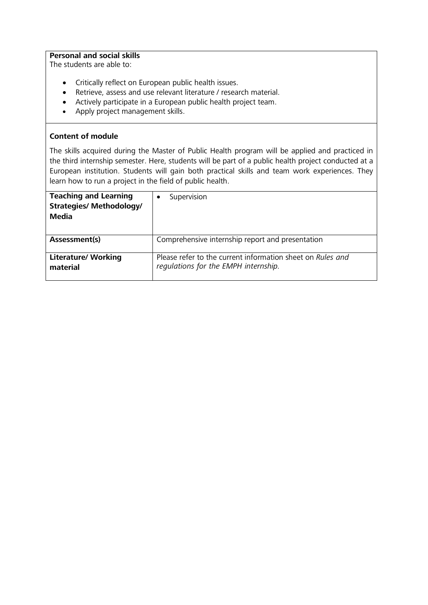#### **Personal and social skills**

The students are able to:

- Critically reflect on European public health issues.
- Retrieve, assess and use relevant literature / research material.
- Actively participate in a European public health project team.
- Apply project management skills.

#### **Content of module**

The skills acquired during the Master of Public Health program will be applied and practiced in the third internship semester. Here, students will be part of a public health project conducted at a European institution. Students will gain both practical skills and team work experiences. They learn how to run a project in the field of public health.

| <b>Teaching and Learning</b><br><b>Strategies/ Methodology/</b><br>Media | Supervision                                                                                        |
|--------------------------------------------------------------------------|----------------------------------------------------------------------------------------------------|
| Assessment(s)                                                            | Comprehensive internship report and presentation                                                   |
| <b>Literature/ Working</b><br>material                                   | Please refer to the current information sheet on Rules and<br>regulations for the EMPH internship. |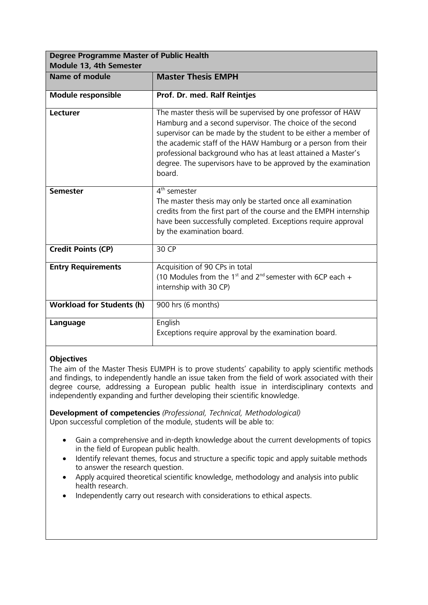<span id="page-29-0"></span>

| <b>Degree Programme Master of Public Health</b><br>Module 13, 4th Semester |                                                                                                                                                                                                                                                                                                                                                                                                         |  |
|----------------------------------------------------------------------------|---------------------------------------------------------------------------------------------------------------------------------------------------------------------------------------------------------------------------------------------------------------------------------------------------------------------------------------------------------------------------------------------------------|--|
| <b>Name of module</b>                                                      | <b>Master Thesis EMPH</b>                                                                                                                                                                                                                                                                                                                                                                               |  |
| <b>Module responsible</b>                                                  | Prof. Dr. med. Ralf Reintjes                                                                                                                                                                                                                                                                                                                                                                            |  |
| Lecturer                                                                   | The master thesis will be supervised by one professor of HAW<br>Hamburg and a second supervisor. The choice of the second<br>supervisor can be made by the student to be either a member of<br>the academic staff of the HAW Hamburg or a person from their<br>professional background who has at least attained a Master's<br>degree. The supervisors have to be approved by the examination<br>board. |  |
| <b>Semester</b>                                                            | 4 <sup>th</sup> semester<br>The master thesis may only be started once all examination<br>credits from the first part of the course and the EMPH internship<br>have been successfully completed. Exceptions require approval<br>by the examination board.                                                                                                                                               |  |
| <b>Credit Points (CP)</b>                                                  | 30 CP                                                                                                                                                                                                                                                                                                                                                                                                   |  |
| <b>Entry Requirements</b>                                                  | Acquisition of 90 CPs in total<br>(10 Modules from the 1 <sup>st</sup> and 2 <sup>nd</sup> semester with 6CP each $+$<br>internship with 30 CP)                                                                                                                                                                                                                                                         |  |
| <b>Workload for Students (h)</b>                                           | 900 hrs (6 months)                                                                                                                                                                                                                                                                                                                                                                                      |  |
| Language                                                                   | English<br>Exceptions require approval by the examination board.                                                                                                                                                                                                                                                                                                                                        |  |

The aim of the Master Thesis EUMPH is to prove students' capability to apply scientific methods and findings, to independently handle an issue taken from the field of work associated with their degree course, addressing a European public health issue in interdisciplinary contexts and independently expanding and further developing their scientific knowledge.

**Development of competencies** *(Professional, Technical, Methodological)* Upon successful completion of the module, students will be able to:

- Gain a comprehensive and in-depth knowledge about the current developments of topics in the field of European public health.
- Identify relevant themes, focus and structure a specific topic and apply suitable methods to answer the research question.
- Apply acquired theoretical scientific knowledge, methodology and analysis into public health research.
- Independently carry out research with considerations to ethical aspects.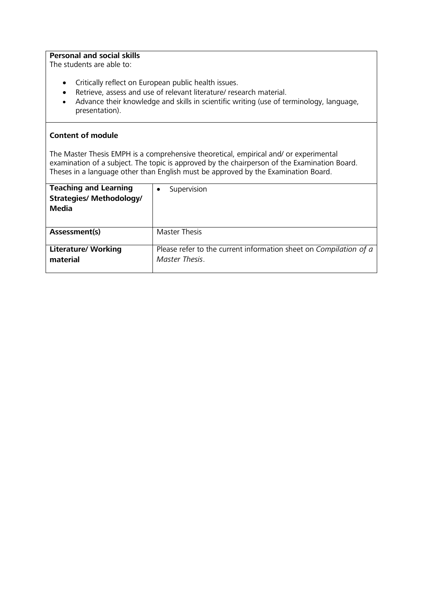#### **Personal and social skills**

The students are able to:

- Critically reflect on European public health issues.
- Retrieve, assess and use of relevant literature/ research material.
- Advance their knowledge and skills in scientific writing (use of terminology, language, presentation).

#### **Content of module**

The Master Thesis EMPH is a comprehensive theoretical, empirical and/ or experimental examination of a subject. The topic is approved by the chairperson of the Examination Board. Theses in a language other than English must be approved by the Examination Board.

| <b>Teaching and Learning</b><br><b>Strategies/ Methodology/</b><br>Media | Supervision                                                                         |
|--------------------------------------------------------------------------|-------------------------------------------------------------------------------------|
| Assessment(s)                                                            | <b>Master Thesis</b>                                                                |
| <b>Literature/ Working</b><br>material                                   | Please refer to the current information sheet on Compilation of a<br>Master Thesis. |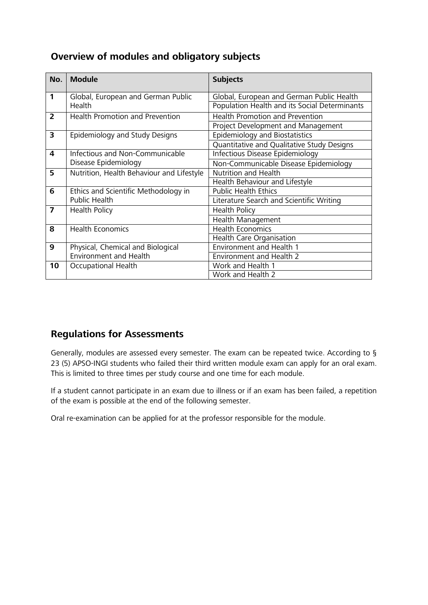# <span id="page-31-0"></span>**Overview of modules and obligatory subjects**

| No.            | <b>Module</b>                             | <b>Subjects</b>                               |
|----------------|-------------------------------------------|-----------------------------------------------|
| 1              | Global, European and German Public        | Global, European and German Public Health     |
|                | Health                                    | Population Health and its Social Determinants |
| $\overline{2}$ | <b>Health Promotion and Prevention</b>    | <b>Health Promotion and Prevention</b>        |
|                |                                           | Project Development and Management            |
| 3              | Epidemiology and Study Designs            | Epidemiology and Biostatistics                |
|                |                                           | Quantitative and Qualitative Study Designs    |
| 4              | Infectious and Non-Communicable           | Infectious Disease Epidemiology               |
|                | Disease Epidemiology                      | Non-Communicable Disease Epidemiology         |
| 5              | Nutrition, Health Behaviour and Lifestyle | <b>Nutrition and Health</b>                   |
|                |                                           | <b>Health Behaviour and Lifestyle</b>         |
| 6              | Ethics and Scientific Methodology in      | <b>Public Health Ethics</b>                   |
|                | Public Health                             | Literature Search and Scientific Writing      |
| 7              | <b>Health Policy</b>                      | <b>Health Policy</b>                          |
|                |                                           | Health Management                             |
| 8              | <b>Health Economics</b>                   | <b>Health Economics</b>                       |
|                |                                           | Health Care Organisation                      |
| 9              | Physical, Chemical and Biological         | <b>Environment and Health 1</b>               |
|                | <b>Environment and Health</b>             | <b>Environment and Health 2</b>               |
| 10             | Occupational Health                       | Work and Health 1                             |
|                |                                           | Work and Health 2                             |

# **Regulations for Assessments**

Generally, modules are assessed every semester. The exam can be repeated twice. According to § 23 (5) APSO-INGI students who failed their third written module exam can apply for an oral exam. This is limited to three times per study course and one time for each module.

If a student cannot participate in an exam due to illness or if an exam has been failed, a repetition of the exam is possible at the end of the following semester.

Oral re-examination can be applied for at the professor responsible for the module.